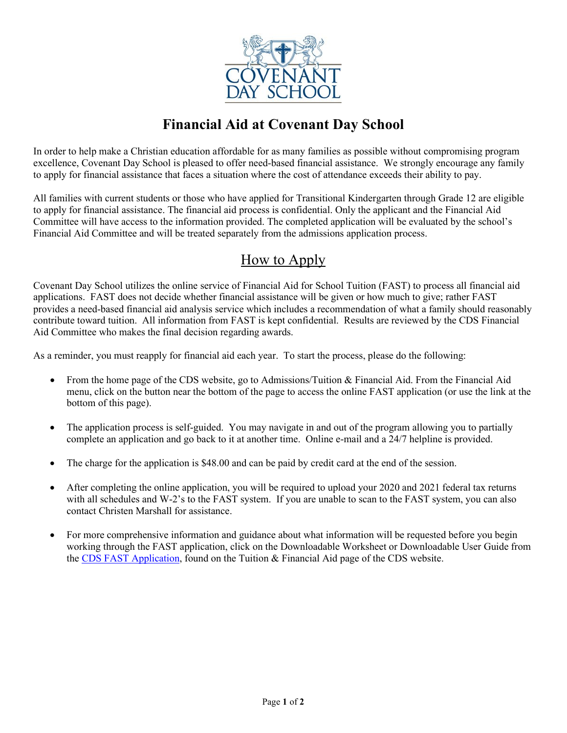

## **Financial Aid at Covenant Day School**

In order to help make a Christian education affordable for as many families as possible without compromising program excellence, Covenant Day School is pleased to offer need-based financial assistance. We strongly encourage any family to apply for financial assistance that faces a situation where the cost of attendance exceeds their ability to pay.

All families with current students or those who have applied for Transitional Kindergarten through Grade 12 are eligible to apply for financial assistance. The financial aid process is confidential. Only the applicant and the Financial Aid Committee will have access to the information provided. The completed application will be evaluated by the school's Financial Aid Committee and will be treated separately from the admissions application process.

## How to Apply

Covenant Day School utilizes the online service of Financial Aid for School Tuition (FAST) to process all financial aid applications. FAST does not decide whether financial assistance will be given or how much to give; rather FAST provides a need-based financial aid analysis service which includes a recommendation of what a family should reasonably contribute toward tuition. All information from FAST is kept confidential. Results are reviewed by the CDS Financial Aid Committee who makes the final decision regarding awards.

As a reminder, you must reapply for financial aid each year. To start the process, please do the following:

- From the home page of the CDS website, go to Admissions/Tuition & Financial Aid. From the Financial Aid menu, click on the button near the bottom of the page to access the online FAST application (or use the link at the bottom of this page).
- The application process is self-guided. You may navigate in and out of the program allowing you to partially complete an application and go back to it at another time. Online e-mail and a 24/7 helpline is provided.
- The charge for the application is \$48.00 and can be paid by credit card at the end of the session.
- After completing the online application, you will be required to upload your 2020 and 2021 federal tax returns with all schedules and W-2's to the FAST system. If you are unable to scan to the FAST system, you can also contact Christen Marshall for assistance.
- For more comprehensive information and guidance about what information will be requested before you begin working through the FAST application, click on the Downloadable Worksheet or Downloadable User Guide from the [CDS FAST Application,](https://www.ismfast.com/FastPage.php?id=7c8615e6b1ad7629259f555e2a981d1e) found on the Tuition & Financial Aid page of the CDS website.